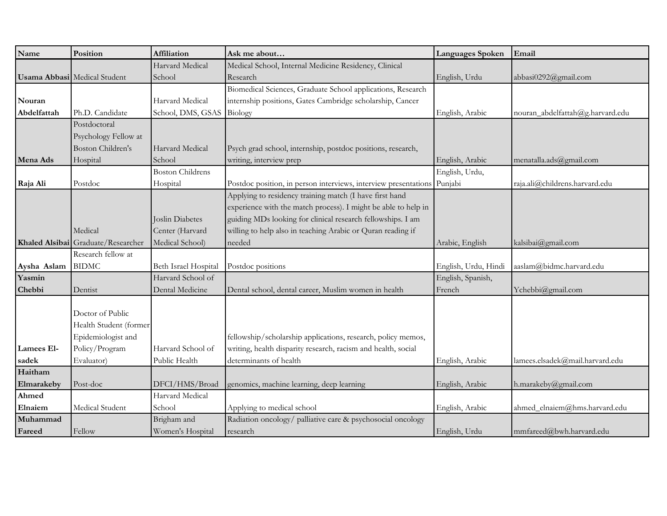| Name        | Position                            | Affiliation             | Ask me about                                                    | Languages Spoken     | Email                            |
|-------------|-------------------------------------|-------------------------|-----------------------------------------------------------------|----------------------|----------------------------------|
|             |                                     | Harvard Medical         | Medical School, Internal Medicine Residency, Clinical           |                      |                                  |
|             | <b>Usama Abbasi</b> Medical Student | School                  | Research                                                        | English, Urdu        | abbasi0292@gmail.com             |
|             |                                     |                         | Biomedical Sciences, Graduate School applications, Research     |                      |                                  |
| Nouran      |                                     | Harvard Medical         | internship positions, Gates Cambridge scholarship, Cancer       |                      |                                  |
| Abdelfattah | Ph.D. Candidate                     | School, DMS, GSAS       | Biology                                                         | English, Arabic      | nouran_abdelfattah@g.harvard.edu |
|             | Postdoctoral                        |                         |                                                                 |                      |                                  |
|             | Psychology Fellow at                |                         |                                                                 |                      |                                  |
|             | <b>Boston Children's</b>            | Harvard Medical         | Psych grad school, internship, postdoc positions, research,     |                      |                                  |
| Mena Ads    | Hospital                            | School                  | writing, interview prep                                         | English, Arabic      | menatalla.ads@gmail.com          |
|             |                                     | <b>Boston Childrens</b> |                                                                 | English, Urdu,       |                                  |
| Raja Ali    | Postdoc                             | Hospital                | Postdoc position, in person interviews, interview presentations | Punjabi              | raja.ali@childrens.harvard.edu   |
|             |                                     |                         | Applying to residency training match (I have first hand         |                      |                                  |
|             |                                     |                         | experience with the match process). I might be able to help in  |                      |                                  |
|             |                                     | Joslin Diabetes         | guiding MDs looking for clinical research fellowships. I am     |                      |                                  |
|             | Medical                             | Center (Harvard         | willing to help also in teaching Arabic or Quran reading if     |                      |                                  |
|             | Khaled Alsibai Graduate/Researcher  | Medical School)         | needed                                                          | Arabic, English      | kalsibai@gmail.com               |
|             | Research fellow at                  |                         |                                                                 |                      |                                  |
| Aysha Aslam | <b>BIDMC</b>                        | Beth Israel Hospital    | Postdoc positions                                               | English, Urdu, Hindi | aaslam@bidmc.harvard.edu         |
| Yasmin      |                                     | Harvard School of       |                                                                 | English, Spanish,    |                                  |
| Chebbi      | Dentist                             | Dental Medicine         | Dental school, dental career, Muslim women in health            | French               | Ychebbi@gmail.com                |
|             |                                     |                         |                                                                 |                      |                                  |
|             | Doctor of Public                    |                         |                                                                 |                      |                                  |
|             | Health Student (former              |                         |                                                                 |                      |                                  |
|             | Epidemiologist and                  |                         | fellowship/scholarship applications, research, policy memos,    |                      |                                  |
| Lamees El-  | Policy/Program                      | Harvard School of       | writing, health disparity research, racism and health, social   |                      |                                  |
| sadek       | Evaluator)                          | Public Health           | determinants of health                                          | English, Arabic      | lamees.elsadek@mail.harvard.edu  |
| Haitham     |                                     |                         |                                                                 |                      |                                  |
| Elmarakeby  | Post-doc                            | DFCI/HMS/Broad          | genomics, machine learning, deep learning                       | English, Arabic      | h.marakeby@gmail.com             |
| Ahmed       |                                     | Harvard Medical         |                                                                 |                      |                                  |
| Elnaiem     | Medical Student                     | School                  | Applying to medical school                                      | English, Arabic      | ahmed_elnaiem@hms.harvard.edu    |
| Muhammad    |                                     | Brigham and             | Radiation oncology/ palliative care & psychosocial oncology     |                      |                                  |
| Fareed      | Fellow                              | Women's Hospital        | research                                                        | English, Urdu        | mmfareed@bwh.harvard.edu         |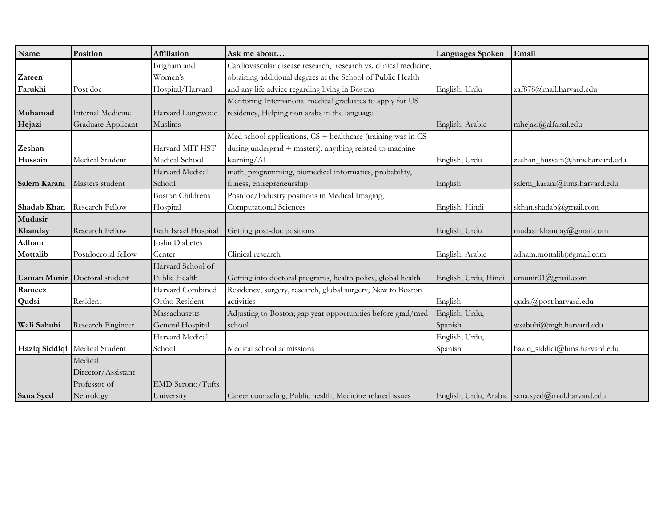| Name               | Position                      | Affiliation             | Ask me about                                                     | Languages Spoken     | Email                                              |
|--------------------|-------------------------------|-------------------------|------------------------------------------------------------------|----------------------|----------------------------------------------------|
|                    |                               | Brigham and             | Cardiovascular disease research, research vs. clinical medicine, |                      |                                                    |
| Zareen             |                               | Women's                 | obtaining additional degrees at the School of Public Health      |                      |                                                    |
| Farukhi            | Post doc                      | Hospital/Harvard        | and any life advice regarding living in Boston                   | English, Urdu        | zaf878@mail.harvard.edu                            |
|                    |                               |                         | Mentoring International medical graduates to apply for US        |                      |                                                    |
| Mohamad            | Internal Medicine             | Harvard Longwood        | residency, Helping non arabs in the language.                    |                      |                                                    |
| Hejazi             | Graduate Applicant            | Muslims                 |                                                                  | English, Arabic      | mhejazi@alfaisal.edu                               |
|                    |                               |                         | Med school applications, $CS$ + healthcare (training was in $CS$ |                      |                                                    |
| Zeshan             |                               | Harvard-MIT HST         | during undergrad + masters), anything related to machine         |                      |                                                    |
| Hussain            | Medical Student               | Medical School          | learning/AI                                                      | English, Urdu        | zeshan_hussain@hms.harvard.edu                     |
|                    |                               | Harvard Medical         | math, programming, biomedical informatics, probability,          |                      |                                                    |
| Salem Karani       | Masters student               | School                  | fitness, entrepreneurship                                        | English              | salem_karani@hms.harvard.edu                       |
|                    |                               | <b>Boston Childrens</b> | Postdoc/Industry positions in Medical Imaging,                   |                      |                                                    |
| Shadab Khan        | Research Fellow               | Hospital                | Computational Sciences                                           | English, Hindi       | skhan.shadab@gmail.com                             |
| Mudasir            |                               |                         |                                                                  |                      |                                                    |
| Khanday            | Research Fellow               | Beth Israel Hospital    | Getting post-doc positions                                       | English, Urdu        | mudasirkhanday@gmail.com                           |
| Adham              |                               | <b>Joslin Diabetes</b>  |                                                                  |                      |                                                    |
| Mottalib           | Postdocrotal fellow           | Center                  | Clinical research                                                | English, Arabic      | adham.mottalib@gmail.com                           |
|                    |                               | Harvard School of       |                                                                  |                      |                                                    |
| <b>Usman Munir</b> | Doctoral student              | Public Health           | Getting into doctoral programs, health policy, global health     | English, Urdu, Hindi | umunir01@gmail.com                                 |
| Rameez             |                               | Harvard Combined        | Residency, surgery, research, global surgery, New to Boston      |                      |                                                    |
| Qudsi              | Resident                      | Ortho Resident          | activities                                                       | English              | qudsi@post.harvard.edu                             |
|                    |                               | Massachusetts           | Adjusting to Boston; gap year opportunities before grad/med      | English, Urdu,       |                                                    |
| Wali Sabuhi        | Research Engineer             | General Hospital        | school                                                           | Spanish              | wsabuhi@mgh.harvard.edu                            |
|                    |                               | Harvard Medical         |                                                                  | English, Urdu,       |                                                    |
|                    | Haziq Siddiqi Medical Student | School                  | Medical school admissions                                        | Spanish              | haziq_siddiqi@hms.harvard.edu                      |
|                    | Medical                       |                         |                                                                  |                      |                                                    |
|                    | Director/Assistant            |                         |                                                                  |                      |                                                    |
|                    | Professor of                  | EMD Serono/Tufts        |                                                                  |                      |                                                    |
| Sana Syed          | Neurology                     | University              | Career counseling, Public health, Medicine related issues        |                      | English, Urdu, Arabic   sana.syed@mail.harvard.edu |